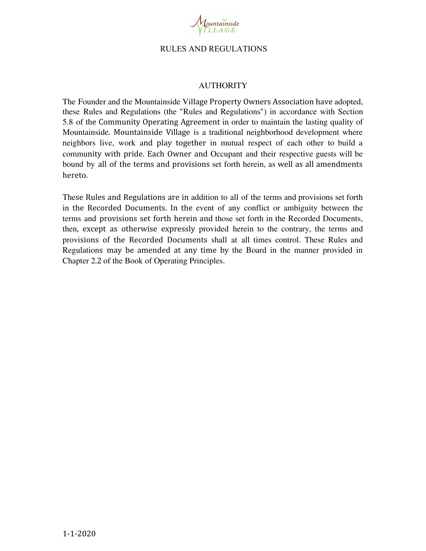

## AUTHORITY

The Founder and the Mountainside Village Property Owners Association have adopted, these Rules and Regulations (the "Rules and Regulations") in accordance with Section 5.8 of the Community Operating Agreement in order to maintain the lasting quality of Mountainside. Mountainside Village is a traditional neighborhood development where neighbors live, work and play together in mutual respect of each other to build a community with pride. Each Owner and Occupant and their respective guests will be bound by all of the terms and provisions set forth herein, as well as all amendments hereto.

These Rules and Regulations are in addition to all of the terms and provisions set forth in the Recorded Documents. In the event of any conflict or ambiguity between the terms and provisions set forth herein and those set forth in the Recorded Documents, then, except as otherwise expressly provided herein to the contrary, the terms and provisions of the Recorded Documents shall at all times control. These Rules and Regulations may be amended at any time by the Board in the manner provided in Chapter 2.2 of the Book of Operating Principles.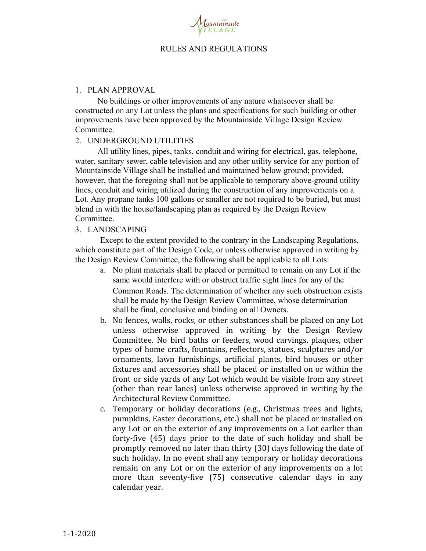

#### 1. PLAN APPROVAL

No buildings or other improvements of any nature whatsoever shall be constructed on any Lot unless the plans and specifications for such building or other improvements have been approved by the Mountainside Village Design Review Committee.

## 2. UNDERGROUND UTILITIES

All utility lines, pipes, tanks, conduit and wiring for electrical, gas, telephone, water, sanitary sewer, cable television and any other utility service for any portion of Mountainside Village shall be installed and maintained below ground; provided, however, that the foregoing shall not be applicable to temporary above-ground utility lines, conduit and wiring utilized during the construction of any improvements on a Lot. Any propane tanks 100 gallons or smaller are not required to be buried, but must blend in with the house/landscaping plan as required by the Design Review Committee.

## 3. LANDSCAPING

Except to the extent provided to the contrary in the Landscaping Regulations, which constitute part of the Design Code, or unless otherwise approved in writing by the Design Review Committee, the following shall be applicable to all Lots:

- a. No plant materials shall be placed or permitted to remain on any Lot if the same would interfere with or obstruct traffic sight lines for any of the Common Roads. The determination of whether any such obstruction exists shall be made by the Design Review Committee, whose determination shall be final, conclusive and binding on all Owners.
- b. No fences, walls, rocks, or other substances shall be placed on any Lot unless otherwise approved in writing by the Design Review Committee. No bird baths or feeders, wood carvings, plaques, other types of home crafts, fountains, reflectors, statues, sculptures and/or ornaments, lawn furnishings, artificial plants, bird houses or other fixtures and accessories shall be placed or installed on or within the front or side yards of any Lot which would be visible from any street (other than rear lanes) unless otherwise approved in writing by the Architectural Review Committee.
- c. Temporary or holiday decorations (e.g., Christmas trees and lights, pumpkins, Easter decorations, etc.) shall not be placed or installed on any Lot or on the exterior of any improvements on a Lot earlier than forty-five (45) days prior to the date of such holiday and shall be promptly removed no later than thirty (30) days following the date of such holiday. In no event shall any temporary or holiday decorations remain on any Lot or on the exterior of any improvements on a lot more than seventy-five (75) consecutive calendar days in any calendar year.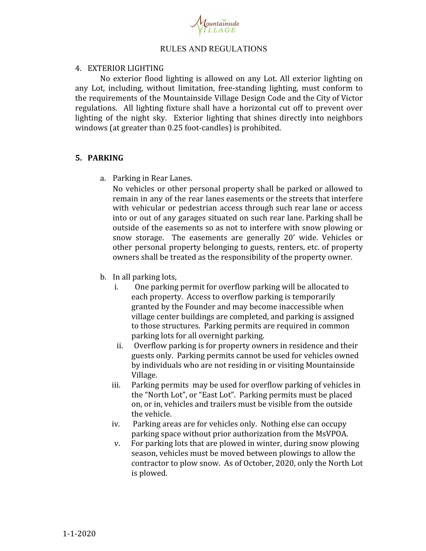

## 4. EXTERIOR LIGHTING

No exterior flood lighting is allowed on any Lot. All exterior lighting on any Lot, including, without limitation, free-standing lighting, must conform to the requirements of the Mountainside Village Design Code and the City of Victor regulations. All lighting fixture shall have a horizontal cut off to prevent over lighting of the night sky. Exterior lighting that shines directly into neighbors windows (at greater than 0.25 foot-candles) is prohibited.

# **5. PARKING**

a. Parking in Rear Lanes.

No vehicles or other personal property shall be parked or allowed to remain in any of the rear lanes easements or the streets that interfere with vehicular or pedestrian access through such rear lane or access into or out of any garages situated on such rear lane. Parking shall be outside of the easements so as not to interfere with snow plowing or snow storage. The easements are generally 20' wide. Vehicles or other personal property belonging to guests, renters, etc. of property owners shall be treated as the responsibility of the property owner.

- b. In all parking lots,
	- i. One parking permit for overflow parking will be allocated to each property. Access to overflow parking is temporarily granted by the Founder and may become inaccessible when village center buildings are completed, and parking is assigned to those structures. Parking permits are required in common parking lots for all overnight parking.
	- ii. Overflow parking is for property owners in residence and their guests only. Parking permits cannot be used for vehicles owned by individuals who are not residing in or visiting Mountainside Village.
	- iii. Parking permits may be used for overflow parking of vehicles in the "North Lot", or "East Lot". Parking permits must be placed on, or in, vehicles and trailers must be visible from the outside the vehicle.
	- iv. Parking areas are for vehicles only. Nothing else can occupy parking space without prior authorization from the MsVPOA.
	- v. For parking lots that are plowed in winter, during snow plowing season, vehicles must be moved between plowings to allow the contractor to plow snow. As of October, 2020, only the North Lot is plowed.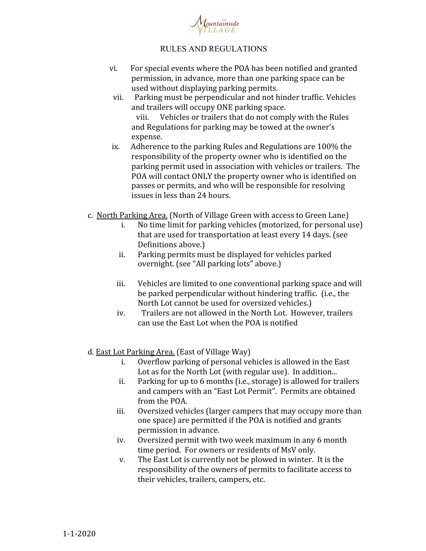

- vi. For special events where the POA has been notified and granted permission, in advance, more than one parking space can be used without displaying parking permits.
	- vii. Parking must be perpendicular and not hinder traffic. Vehicles and trailers will occupy ONE parking space. viii. Vehicles or trailers that do not comply with the Rules and Regulations for parking may be towed at the owner's expense.
- ix. Adherence to the parking Rules and Regulations are 100% the responsibility of the property owner who is identified on the parking permit used in association with vehicles or trailers. The POA will contact ONLY the property owner who is identified on passes or permits, and who will be responsible for resolving issues in less than 24 hours.
- c. North Parking Area. (North of Village Green with access to Green Lane)
	- i. No time limit for parking vehicles (motorized, for personal use) that are used for transportation at least every 14 days. (see Definitions above.)
	- ii. Parking permits must be displayed for vehicles parked overnight. (see "All parking lots" above.)
	- iii. Vehicles are limited to one conventional parking space and will be parked perpendicular without hindering traffic. (i.e., the North Lot cannot be used for oversized vehicles.)
	- iv. Trailers are not allowed in the North Lot. However, trailers can use the East Lot when the POA is notified
- d. East Lot Parking Area. (East of Village Way)
	- i. Overflow parking of personal vehicles is allowed in the East Lot as for the North Lot (with regular use). In addition...
	- ii. Parking for up to 6 months (i.e., storage) is allowed for trailers and campers with an "East Lot Permit". Permits are obtained from the POA.
	- iii. Oversized vehicles (larger campers that may occupy more than one space) are permitted if the POA is notified and grants permission in advance.
	- iv. Oversized permit with two week maximum in any 6 month time period. For owners or residents of MsV only.
	- v. The East Lot is currently not be plowed in winter. It is the responsibility of the owners of permits to facilitate access to their vehicles, trailers, campers, etc.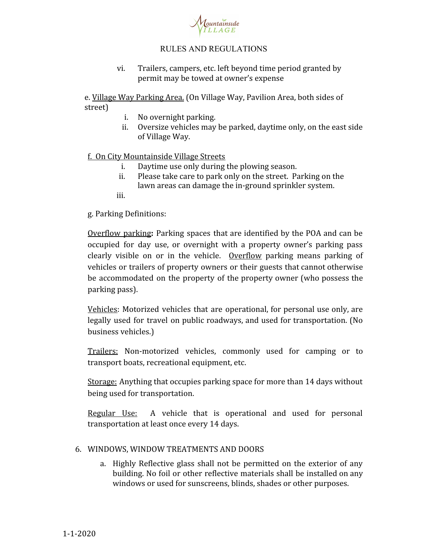

vi. Trailers, campers, etc. left beyond time period granted by permit may be towed at owner's expense

e. Village Way Parking Area. (On Village Way, Pavilion Area, both sides of street)

- i. No overnight parking.
- ii. Oversize vehicles may be parked, daytime only, on the east side of Village Way.

f. On City Mountainside Village Streets

- i. Daytime use only during the plowing season.
- ii. Please take care to park only on the street. Parking on the lawn areas can damage the in-ground sprinkler system.
- iii.

g. Parking Definitions:

Overflow parking**:** Parking spaces that are identified by the POA and can be occupied for day use, or overnight with a property owner's parking pass clearly visible on or in the vehicle. Overflow parking means parking of vehicles or trailers of property owners or their guests that cannot otherwise be accommodated on the property of the property owner (who possess the parking pass).

Vehicles: Motorized vehicles that are operational, for personal use only, are legally used for travel on public roadways, and used for transportation. (No business vehicles.)

Trailers: Non-motorized vehicles, commonly used for camping or to transport boats, recreational equipment, etc.

Storage: Anything that occupies parking space for more than 14 days without being used for transportation.

Regular Use: A vehicle that is operational and used for personal transportation at least once every 14 days.

# 6. WINDOWS, WINDOW TREATMENTS AND DOORS

a. Highly Reflective glass shall not be permitted on the exterior of any building. No foil or other reflective materials shall be installed on any windows or used for sunscreens, blinds, shades or other purposes.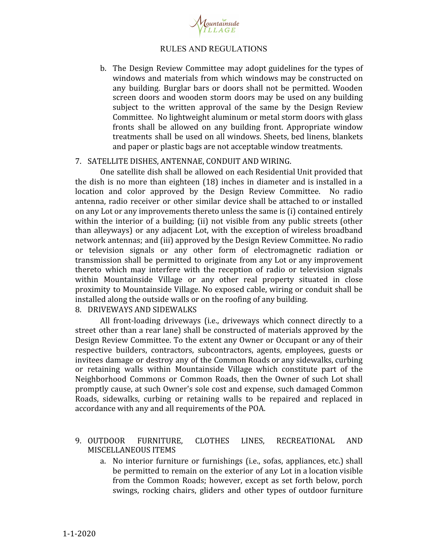

b. The Design Review Committee may adopt guidelines for the types of windows and materials from which windows may be constructed on any building. Burglar bars or doors shall not be permitted. Wooden screen doors and wooden storm doors may be used on any building subject to the written approval of the same by the Design Review Committee. No lightweight aluminum or metal storm doors with glass fronts shall be allowed on any building front. Appropriate window treatments shall be used on all windows. Sheets, bed linens, blankets and paper or plastic bags are not acceptable window treatments.

## 7. SATELLITE DISHES, ANTENNAE, CONDUIT AND WIRING.

One satellite dish shall be allowed on each Residential Unit provided that the dish is no more than eighteen (18) inches in diameter and is installed in a location and color approved by the Design Review Committee. No radio antenna, radio receiver or other similar device shall be attached to or installed on any Lot or any improvements thereto unless the same is (i) contained entirely within the interior of a building; (ii) not visible from any public streets (other than alleyways) or any adjacent Lot, with the exception of wireless broadband network antennas; and (iii) approved by the Design Review Committee. No radio or television signals or any other form of electromagnetic radiation or transmission shall be permitted to originate from any Lot or any improvement thereto which may interfere with the reception of radio or television signals within Mountainside Village or any other real property situated in close proximity to Mountainside Village. No exposed cable, wiring or conduit shall be installed along the outside walls or on the roofing of any building.

# 8. DRIVEWAYS AND SIDEWALKS

All front-loading driveways (i.e., driveways which connect directly to a street other than a rear lane) shall be constructed of materials approved by the Design Review Committee. To the extent any Owner or Occupant or any of their respective builders, contractors, subcontractors, agents, employees, guests or invitees damage or destroy any of the Common Roads or any sidewalks, curbing or retaining walls within Mountainside Village which constitute part of the Neighborhood Commons or Common Roads, then the Owner of such Lot shall promptly cause, at such Owner's sole cost and expense, such damaged Common Roads, sidewalks, curbing or retaining walls to be repaired and replaced in accordance with any and all requirements of the POA.

# 9. OUTDOOR FURNITURE, CLOTHES LINES, RECREATIONAL AND MISCELLANEOUS ITEMS

a. No interior furniture or furnishings (i.e., sofas, appliances, etc.) shall be permitted to remain on the exterior of any Lot in a location visible from the Common Roads; however, except as set forth below, porch swings, rocking chairs, gliders and other types of outdoor furniture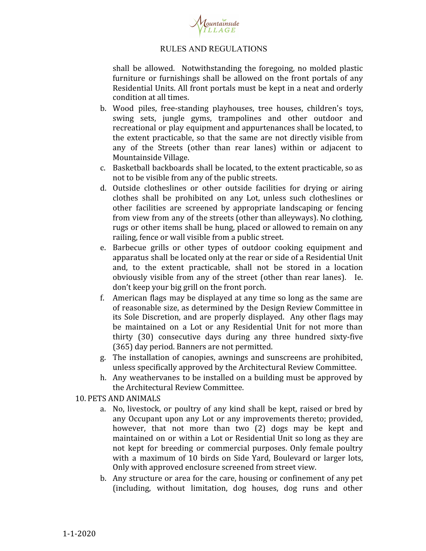

shall be allowed. Notwithstanding the foregoing, no molded plastic furniture or furnishings shall be allowed on the front portals of any Residential Units. All front portals must be kept in a neat and orderly condition at all times.

- b. Wood piles, free-standing playhouses, tree houses, children's toys, swing sets, jungle gyms, trampolines and other outdoor and recreational or play equipment and appurtenances shall be located, to the extent practicable, so that the same are not directly visible from any of the Streets (other than rear lanes) within or adjacent to Mountainside Village.
- c. Basketball backboards shall be located, to the extent practicable, so as not to be visible from any of the public streets.
- d. Outside clotheslines or other outside facilities for drying or airing clothes shall be prohibited on any Lot, unless such clotheslines or other facilities are screened by appropriate landscaping or fencing from view from any of the streets (other than alleyways). No clothing, rugs or other items shall be hung, placed or allowed to remain on any railing, fence or wall visible from a public street.
- e. Barbecue grills or other types of outdoor cooking equipment and apparatus shall be located only at the rear or side of a Residential Unit and, to the extent practicable, shall not be stored in a location obviously visible from any of the street (other than rear lanes). Ie. don't keep your big grill on the front porch.
- f. American flags may be displayed at any time so long as the same are of reasonable size, as determined by the Design Review Committee in its Sole Discretion, and are properly displayed. Any other flags may be maintained on a Lot or any Residential Unit for not more than thirty (30) consecutive days during any three hundred sixty-five (365) day period. Banners are not permitted.
- g. The installation of canopies, awnings and sunscreens are prohibited, unless specifically approved by the Architectural Review Committee.
- h. Any weathervanes to be installed on a building must be approved by the Architectural Review Committee.

## 10. PETS AND ANIMALS

- a. No, livestock, or poultry of any kind shall be kept, raised or bred by any Occupant upon any Lot or any improvements thereto; provided, however, that not more than two (2) dogs may be kept and maintained on or within a Lot or Residential Unit so long as they are not kept for breeding or commercial purposes. Only female poultry with a maximum of 10 birds on Side Yard, Boulevard or larger lots, Only with approved enclosure screened from street view.
- b. Any structure or area for the care, housing or confinement of any pet (including, without limitation, dog houses, dog runs and other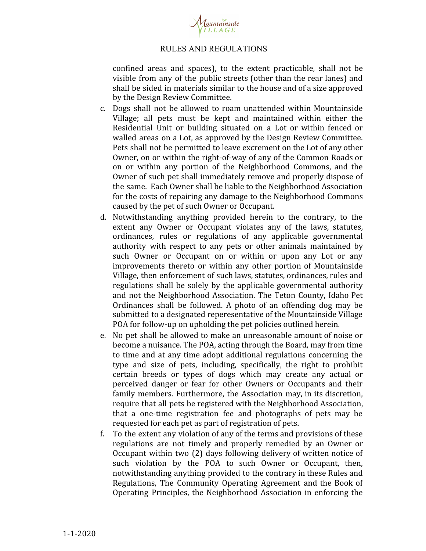

confined areas and spaces), to the extent practicable, shall not be visible from any of the public streets (other than the rear lanes) and shall be sided in materials similar to the house and of a size approved by the Design Review Committee.

- c. Dogs shall not be allowed to roam unattended within Mountainside Village; all pets must be kept and maintained within either the Residential Unit or building situated on a Lot or within fenced or walled areas on a Lot, as approved by the Design Review Committee. Pets shall not be permitted to leave excrement on the Lot of any other Owner, on or within the right-of-way of any of the Common Roads or on or within any portion of the Neighborhood Commons, and the Owner of such pet shall immediately remove and properly dispose of the same. Each Owner shall be liable to the Neighborhood Association for the costs of repairing any damage to the Neighborhood Commons caused by the pet of such Owner or Occupant.
- d. Notwithstanding anything provided herein to the contrary, to the extent any Owner or Occupant violates any of the laws, statutes, ordinances, rules or regulations of any applicable governmental authority with respect to any pets or other animals maintained by such Owner or Occupant on or within or upon any Lot or any improvements thereto or within any other portion of Mountainside Village, then enforcement of such laws, statutes, ordinances, rules and regulations shall be solely by the applicable governmental authority and not the Neighborhood Association. The Teton County, Idaho Pet Ordinances shall be followed. A photo of an offending dog may be submitted to a designated reperesentative of the Mountainside Village POA for follow-up on upholding the pet policies outlined herein.
- e. No pet shall be allowed to make an unreasonable amount of noise or become a nuisance. The POA, acting through the Board, may from time to time and at any time adopt additional regulations concerning the type and size of pets, including, specifically, the right to prohibit certain breeds or types of dogs which may create any actual or perceived danger or fear for other Owners or Occupants and their family members. Furthermore, the Association may, in its discretion, require that all pets be registered with the Neighborhood Association, that a one-time registration fee and photographs of pets may be requested for each pet as part of registration of pets.
- f. To the extent any violation of any of the terms and provisions of these regulations are not timely and properly remedied by an Owner or Occupant within two (2) days following delivery of written notice of such violation by the POA to such Owner or Occupant, then, notwithstanding anything provided to the contrary in these Rules and Regulations, The Community Operating Agreement and the Book of Operating Principles, the Neighborhood Association in enforcing the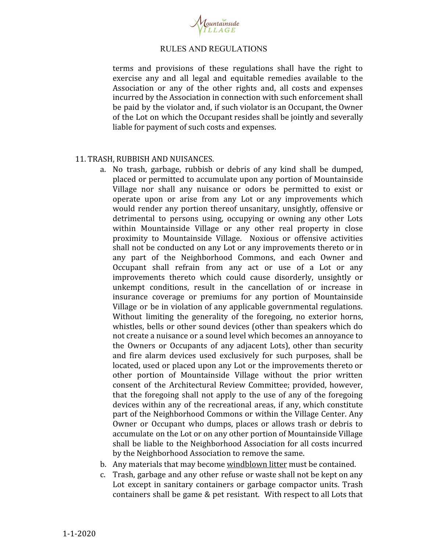

terms and provisions of these regulations shall have the right to exercise any and all legal and equitable remedies available to the Association or any of the other rights and, all costs and expenses incurred by the Association in connection with such enforcement shall be paid by the violator and, if such violator is an Occupant, the Owner of the Lot on which the Occupant resides shall be jointly and severally liable for payment of such costs and expenses.

## 11. TRASH, RUBBISH AND NUISANCES.

- a. No trash, garbage, rubbish or debris of any kind shall be dumped, placed or permitted to accumulate upon any portion of Mountainside Village nor shall any nuisance or odors be permitted to exist or operate upon or arise from any Lot or any improvements which would render any portion thereof unsanitary, unsightly, offensive or detrimental to persons using, occupying or owning any other Lots within Mountainside Village or any other real property in close proximity to Mountainside Village. Noxious or offensive activities shall not be conducted on any Lot or any improvements thereto or in any part of the Neighborhood Commons, and each Owner and Occupant shall refrain from any act or use of a Lot or any improvements thereto which could cause disorderly, unsightly or unkempt conditions, result in the cancellation of or increase in insurance coverage or premiums for any portion of Mountainside Village or be in violation of any applicable governmental regulations. Without limiting the generality of the foregoing, no exterior horns, whistles, bells or other sound devices (other than speakers which do not create a nuisance or a sound level which becomes an annoyance to the Owners or Occupants of any adjacent Lots), other than security and fire alarm devices used exclusively for such purposes, shall be located, used or placed upon any Lot or the improvements thereto or other portion of Mountainside Village without the prior written consent of the Architectural Review Committee; provided, however, that the foregoing shall not apply to the use of any of the foregoing devices within any of the recreational areas, if any, which constitute part of the Neighborhood Commons or within the Village Center. Any Owner or Occupant who dumps, places or allows trash or debris to accumulate on the Lot or on any other portion of Mountainside Village shall be liable to the Neighborhood Association for all costs incurred by the Neighborhood Association to remove the same.
- b. Any materials that may become windblown litter must be contained.
- c. Trash, garbage and any other refuse or waste shall not be kept on any Lot except in sanitary containers or garbage compactor units. Trash containers shall be game & pet resistant. With respect to all Lots that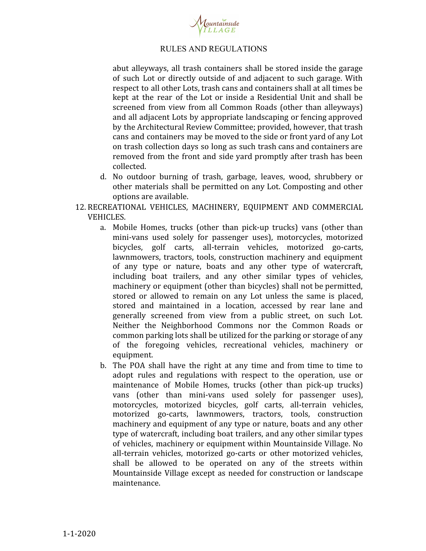

abut alleyways, all trash containers shall be stored inside the garage of such Lot or directly outside of and adjacent to such garage. With respect to all other Lots, trash cans and containers shall at all times be kept at the rear of the Lot or inside a Residential Unit and shall be screened from view from all Common Roads (other than alleyways) and all adjacent Lots by appropriate landscaping or fencing approved by the Architectural Review Committee; provided, however, that trash cans and containers may be moved to the side or front yard of any Lot on trash collection days so long as such trash cans and containers are removed from the front and side yard promptly after trash has been collected.

- d. No outdoor burning of trash, garbage, leaves, wood, shrubbery or other materials shall be permitted on any Lot. Composting and other options are available.
- 12. RECREATIONAL VEHICLES, MACHINERY, EQUIPMENT AND COMMERCIAL VEHICLES.
	- a. Mobile Homes, trucks (other than pick-up trucks) vans (other than mini-vans used solely for passenger uses), motorcycles, motorized bicycles, golf carts, all-terrain vehicles, motorized go-carts, lawnmowers, tractors, tools, construction machinery and equipment of any type or nature, boats and any other type of watercraft, including boat trailers, and any other similar types of vehicles, machinery or equipment (other than bicycles) shall not be permitted, stored or allowed to remain on any Lot unless the same is placed, stored and maintained in a location, accessed by rear lane and generally screened from view from a public street, on such Lot. Neither the Neighborhood Commons nor the Common Roads or common parking lots shall be utilized for the parking or storage of any of the foregoing vehicles, recreational vehicles, machinery or equipment.
	- b. The POA shall have the right at any time and from time to time to adopt rules and regulations with respect to the operation, use or maintenance of Mobile Homes, trucks (other than pick-up trucks) vans (other than mini-vans used solely for passenger uses), motorcycles, motorized bicycles, golf carts, all-terrain vehicles, motorized go-carts, lawnmowers, tractors, tools, construction machinery and equipment of any type or nature, boats and any other type of watercraft, including boat trailers, and any other similar types of vehicles, machinery or equipment within Mountainside Village. No all-terrain vehicles, motorized go-carts or other motorized vehicles, shall be allowed to be operated on any of the streets within Mountainside Village except as needed for construction or landscape maintenance.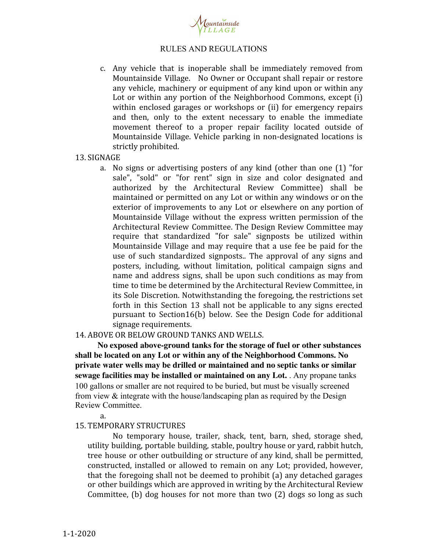

c. Any vehicle that is inoperable shall be immediately removed from Mountainside Village. No Owner or Occupant shall repair or restore any vehicle, machinery or equipment of any kind upon or within any Lot or within any portion of the Neighborhood Commons, except (i) within enclosed garages or workshops or (ii) for emergency repairs and then, only to the extent necessary to enable the immediate movement thereof to a proper repair facility located outside of Mountainside Village. Vehicle parking in non-designated locations is strictly prohibited.

#### 13. SIGNAGE

a. No signs or advertising posters of any kind (other than one (1) "for sale", "sold" or "for rent" sign in size and color designated and authorized by the Architectural Review Committee) shall be maintained or permitted on any Lot or within any windows or on the exterior of improvements to any Lot or elsewhere on any portion of Mountainside Village without the express written permission of the Architectural Review Committee. The Design Review Committee may require that standardized "for sale" signposts be utilized within Mountainside Village and may require that a use fee be paid for the use of such standardized signposts.. The approval of any signs and posters, including, without limitation, political campaign signs and name and address signs, shall be upon such conditions as may from time to time be determined by the Architectural Review Committee, in its Sole Discretion. Notwithstanding the foregoing, the restrictions set forth in this Section 13 shall not be applicable to any signs erected pursuant to Section16(b) below. See the Design Code for additional signage requirements.

## 14. ABOVE OR BELOW GROUND TANKS AND WELLS.

**No exposed above-ground tanks for the storage of fuel or other substances shall be located on any Lot or within any of the Neighborhood Commons. No private water wells may be drilled or maintained and no septic tanks or similar sewage facilities may be installed or maintained on any Lot.** . Any propane tanks 100 gallons or smaller are not required to be buried, but must be visually screened from view & integrate with the house/landscaping plan as required by the Design Review Committee.

a.

## 15. TEMPORARY STRUCTURES

No temporary house, trailer, shack, tent, barn, shed, storage shed, utility building, portable building, stable, poultry house or yard, rabbit hutch, tree house or other outbuilding or structure of any kind, shall be permitted, constructed, installed or allowed to remain on any Lot; provided, however, that the foregoing shall not be deemed to prohibit (a) any detached garages or other buildings which are approved in writing by the Architectural Review Committee, (b) dog houses for not more than two (2) dogs so long as such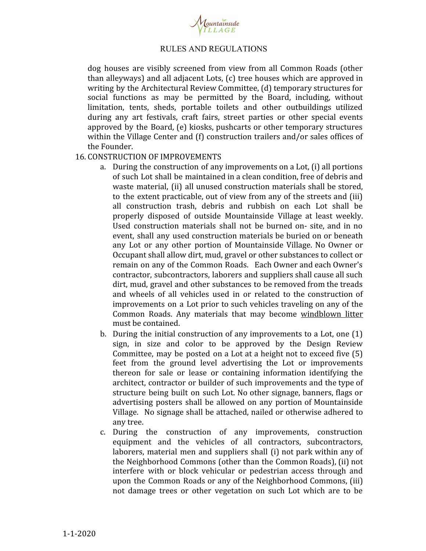

dog houses are visibly screened from view from all Common Roads (other than alleyways) and all adjacent Lots, (c) tree houses which are approved in writing by the Architectural Review Committee, (d) temporary structures for social functions as may be permitted by the Board, including, without limitation, tents, sheds, portable toilets and other outbuildings utilized during any art festivals, craft fairs, street parties or other special events approved by the Board, (e) kiosks, pushcarts or other temporary structures within the Village Center and (f) construction trailers and/or sales offices of the Founder.

## 16. CONSTRUCTION OF IMPROVEMENTS

- a. During the construction of any improvements on a Lot, (i) all portions of such Lot shall be maintained in a clean condition, free of debris and waste material, (ii) all unused construction materials shall be stored, to the extent practicable, out of view from any of the streets and (iii) all construction trash, debris and rubbish on each Lot shall be properly disposed of outside Mountainside Village at least weekly. Used construction materials shall not be burned on- site, and in no event, shall any used construction materials be buried on or beneath any Lot or any other portion of Mountainside Village. No Owner or Occupant shall allow dirt, mud, gravel or other substances to collect or remain on any of the Common Roads. Each Owner and each Owner's contractor, subcontractors, laborers and suppliers shall cause all such dirt, mud, gravel and other substances to be removed from the treads and wheels of all vehicles used in or related to the construction of improvements on a Lot prior to such vehicles traveling on any of the Common Roads. Any materials that may become windblown litter must be contained.
- b. During the initial construction of any improvements to a Lot, one (1) sign, in size and color to be approved by the Design Review Committee, may be posted on a Lot at a height not to exceed five (5) feet from the ground level advertising the Lot or improvements thereon for sale or lease or containing information identifying the architect, contractor or builder of such improvements and the type of structure being built on such Lot. No other signage, banners, flags or advertising posters shall be allowed on any portion of Mountainside Village. No signage shall be attached, nailed or otherwise adhered to any tree.
- c. During the construction of any improvements, construction equipment and the vehicles of all contractors, subcontractors, laborers, material men and suppliers shall (i) not park within any of the Neighborhood Commons (other than the Common Roads), (ii) not interfere with or block vehicular or pedestrian access through and upon the Common Roads or any of the Neighborhood Commons, (iii) not damage trees or other vegetation on such Lot which are to be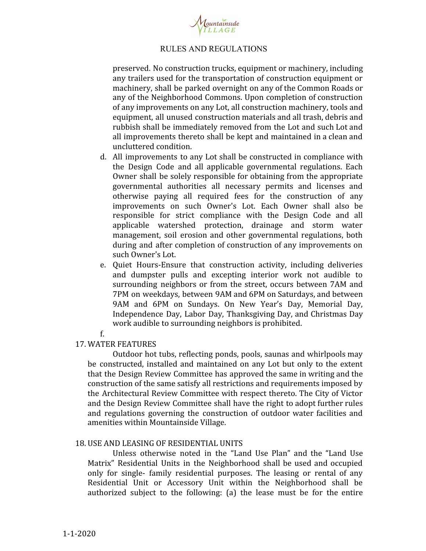

preserved. No construction trucks, equipment or machinery, including any trailers used for the transportation of construction equipment or machinery, shall be parked overnight on any of the Common Roads or any of the Neighborhood Commons. Upon completion of construction of any improvements on any Lot, all construction machinery, tools and equipment, all unused construction materials and all trash, debris and rubbish shall be immediately removed from the Lot and such Lot and all improvements thereto shall be kept and maintained in a clean and uncluttered condition.

- d. All improvements to any Lot shall be constructed in compliance with the Design Code and all applicable governmental regulations. Each Owner shall be solely responsible for obtaining from the appropriate governmental authorities all necessary permits and licenses and otherwise paying all required fees for the construction of any improvements on such Owner's Lot. Each Owner shall also be responsible for strict compliance with the Design Code and all applicable watershed protection, drainage and storm water management, soil erosion and other governmental regulations, both during and after completion of construction of any improvements on such Owner's Lot.
- e. Quiet Hours-Ensure that construction activity, including deliveries and dumpster pulls and excepting interior work not audible to surrounding neighbors or from the street, occurs between 7AM and 7PM on weekdays, between 9AM and 6PM on Saturdays, and between 9AM and 6PM on Sundays. On New Year's Day, Memorial Day, Independence Day, Labor Day, Thanksgiving Day, and Christmas Day work audible to surrounding neighbors is prohibited.
- f.

## 17. WATER FEATURES

Outdoor hot tubs, reflecting ponds, pools, saunas and whirlpools may be constructed, installed and maintained on any Lot but only to the extent that the Design Review Committee has approved the same in writing and the construction of the same satisfy all restrictions and requirements imposed by the Architectural Review Committee with respect thereto. The City of Victor and the Design Review Committee shall have the right to adopt further rules and regulations governing the construction of outdoor water facilities and amenities within Mountainside Village.

## 18. USE AND LEASING OF RESIDENTIAL UNITS

Unless otherwise noted in the "Land Use Plan" and the "Land Use Matrix" Residential Units in the Neighborhood shall be used and occupied only for single- family residential purposes. The leasing or rental of any Residential Unit or Accessory Unit within the Neighborhood shall be authorized subject to the following: (a) the lease must be for the entire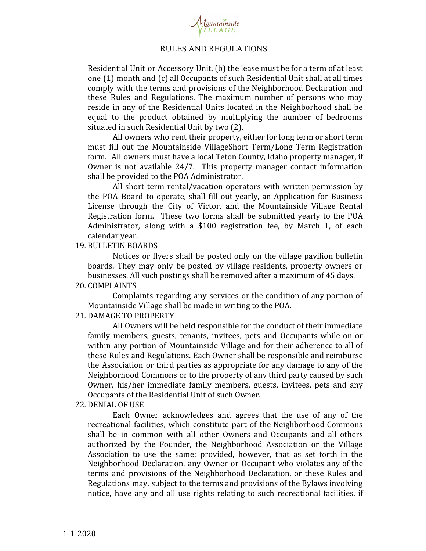

Residential Unit or Accessory Unit, (b) the lease must be for a term of at least one (1) month and (c) all Occupants of such Residential Unit shall at all times comply with the terms and provisions of the Neighborhood Declaration and these Rules and Regulations. The maximum number of persons who may reside in any of the Residential Units located in the Neighborhood shall be equal to the product obtained by multiplying the number of bedrooms situated in such Residential Unit by two (2).

All owners who rent their property, either for long term or short term must fill out the Mountainside VillageShort Term/Long Term Registration form. All owners must have a local Teton County, Idaho property manager, if Owner is not available 24/7. This property manager contact information shall be provided to the POA Administrator.

All short term rental/vacation operators with written permission by the POA Board to operate, shall fill out yearly, an Application for Business License through the City of Victor, and the Mountainside Village Rental Registration form. These two forms shall be submitted yearly to the POA Administrator, along with a \$100 registration fee, by March 1, of each calendar year.

19. BULLETIN BOARDS

Notices or flyers shall be posted only on the village pavilion bulletin boards. They may only be posted by village residents, property owners or businesses. All such postings shall be removed after a maximum of 45 days.

20. COMPLAINTS

Complaints regarding any services or the condition of any portion of Mountainside Village shall be made in writing to the POA.

#### 21. DAMAGE TO PROPERTY

All Owners will be held responsible for the conduct of their immediate family members, guests, tenants, invitees, pets and Occupants while on or within any portion of Mountainside Village and for their adherence to all of these Rules and Regulations. Each Owner shall be responsible and reimburse the Association or third parties as appropriate for any damage to any of the Neighborhood Commons or to the property of any third party caused by such Owner, his/her immediate family members, guests, invitees, pets and any Occupants of the Residential Unit of such Owner.

#### 22. DENIAL OF USE

Each Owner acknowledges and agrees that the use of any of the recreational facilities, which constitute part of the Neighborhood Commons shall be in common with all other Owners and Occupants and all others authorized by the Founder, the Neighborhood Association or the Village Association to use the same; provided, however, that as set forth in the Neighborhood Declaration, any Owner or Occupant who violates any of the terms and provisions of the Neighborhood Declaration, or these Rules and Regulations may, subject to the terms and provisions of the Bylaws involving notice, have any and all use rights relating to such recreational facilities, if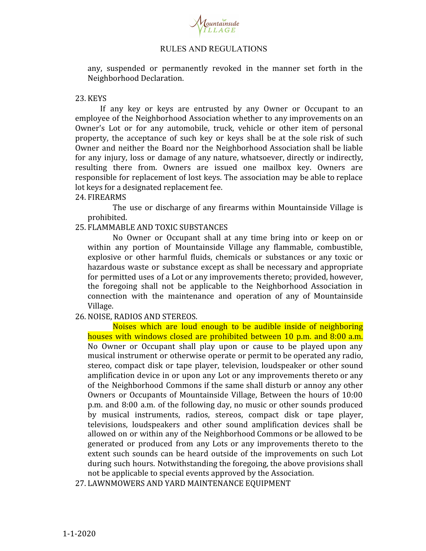

any, suspended or permanently revoked in the manner set forth in the Neighborhood Declaration.

## 23. KEYS

If any key or keys are entrusted by any Owner or Occupant to an employee of the Neighborhood Association whether to any improvements on an Owner's Lot or for any automobile, truck, vehicle or other item of personal property, the acceptance of such key or keys shall be at the sole risk of such Owner and neither the Board nor the Neighborhood Association shall be liable for any injury, loss or damage of any nature, whatsoever, directly or indirectly, resulting there from. Owners are issued one mailbox key. Owners are responsible for replacement of lost keys. The association may be able to replace lot keys for a designated replacement fee.

## 24. FIREARMS

The use or discharge of any firearms within Mountainside Village is prohibited.

## 25. FLAMMABLE AND TOXIC SUBSTANCES

No Owner or Occupant shall at any time bring into or keep on or within any portion of Mountainside Village any flammable, combustible, explosive or other harmful fluids, chemicals or substances or any toxic or hazardous waste or substance except as shall be necessary and appropriate for permitted uses of a Lot or any improvements thereto; provided, however, the foregoing shall not be applicable to the Neighborhood Association in connection with the maintenance and operation of any of Mountainside Village.

# 26. NOISE, RADIOS AND STEREOS.

Noises which are loud enough to be audible inside of neighboring houses with windows closed are prohibited between 10 p.m. and 8:00 a.m. No Owner or Occupant shall play upon or cause to be played upon any musical instrument or otherwise operate or permit to be operated any radio, stereo, compact disk or tape player, television, loudspeaker or other sound amplification device in or upon any Lot or any improvements thereto or any of the Neighborhood Commons if the same shall disturb or annoy any other Owners or Occupants of Mountainside Village, Between the hours of 10:00 p.m. and 8:00 a.m. of the following day, no music or other sounds produced by musical instruments, radios, stereos, compact disk or tape player, televisions, loudspeakers and other sound amplification devices shall be allowed on or within any of the Neighborhood Commons or be allowed to be generated or produced from any Lots or any improvements thereto to the extent such sounds can be heard outside of the improvements on such Lot during such hours. Notwithstanding the foregoing, the above provisions shall not be applicable to special events approved by the Association.

27. LAWNMOWERS AND YARD MAINTENANCE EQUIPMENT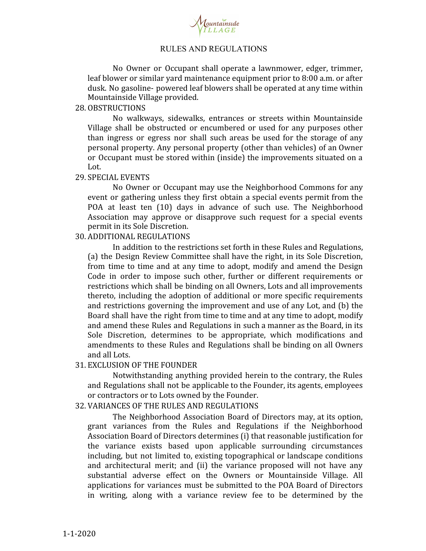

No Owner or Occupant shall operate a lawnmower, edger, trimmer, leaf blower or similar yard maintenance equipment prior to 8:00 a.m. or after dusk. No gasoline- powered leaf blowers shall be operated at any time within Mountainside Village provided.

## 28. OBSTRUCTIONS

No walkways, sidewalks, entrances or streets within Mountainside Village shall be obstructed or encumbered or used for any purposes other than ingress or egress nor shall such areas be used for the storage of any personal property. Any personal property (other than vehicles) of an Owner or Occupant must be stored within (inside) the improvements situated on a Lot.

#### 29. SPECIAL EVENTS

No Owner or Occupant may use the Neighborhood Commons for any event or gathering unless they first obtain a special events permit from the POA at least ten (10) days in advance of such use. The Neighborhood Association may approve or disapprove such request for a special events permit in its Sole Discretion.

## 30. ADDITIONAL REGULATIONS

In addition to the restrictions set forth in these Rules and Regulations, (a) the Design Review Committee shall have the right, in its Sole Discretion, from time to time and at any time to adopt, modify and amend the Design Code in order to impose such other, further or different requirements or restrictions which shall be binding on all Owners, Lots and all improvements thereto, including the adoption of additional or more specific requirements and restrictions governing the improvement and use of any Lot, and (b) the Board shall have the right from time to time and at any time to adopt, modify and amend these Rules and Regulations in such a manner as the Board, in its Sole Discretion, determines to be appropriate, which modifications and amendments to these Rules and Regulations shall be binding on all Owners and all Lots.

## 31. EXCLUSION OF THE FOUNDER

Notwithstanding anything provided herein to the contrary, the Rules and Regulations shall not be applicable to the Founder, its agents, employees or contractors or to Lots owned by the Founder.

## 32. VARIANCES OF THE RULES AND REGULATIONS

The Neighborhood Association Board of Directors may, at its option, grant variances from the Rules and Regulations if the Neighborhood Association Board of Directors determines (i) that reasonable justification for the variance exists based upon applicable surrounding circumstances including, but not limited to, existing topographical or landscape conditions and architectural merit; and (ii) the variance proposed will not have any substantial adverse effect on the Owners or Mountainside Village. All applications for variances must be submitted to the POA Board of Directors in writing, along with a variance review fee to be determined by the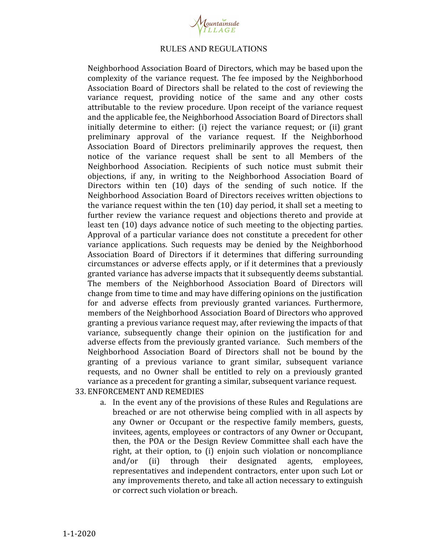

Neighborhood Association Board of Directors, which may be based upon the complexity of the variance request. The fee imposed by the Neighborhood Association Board of Directors shall be related to the cost of reviewing the variance request, providing notice of the same and any other costs attributable to the review procedure. Upon receipt of the variance request and the applicable fee, the Neighborhood Association Board of Directors shall initially determine to either: (i) reject the variance request; or (ii) grant preliminary approval of the variance request. If the Neighborhood Association Board of Directors preliminarily approves the request, then notice of the variance request shall be sent to all Members of the Neighborhood Association. Recipients of such notice must submit their objections, if any, in writing to the Neighborhood Association Board of Directors within ten (10) days of the sending of such notice. If the Neighborhood Association Board of Directors receives written objections to the variance request within the ten (10) day period, it shall set a meeting to further review the variance request and objections thereto and provide at least ten (10) days advance notice of such meeting to the objecting parties. Approval of a particular variance does not constitute a precedent for other variance applications. Such requests may be denied by the Neighborhood Association Board of Directors if it determines that differing surrounding circumstances or adverse effects apply, or if it determines that a previously granted variance has adverse impacts that it subsequently deems substantial. The members of the Neighborhood Association Board of Directors will change from time to time and may have differing opinions on the justification for and adverse effects from previously granted variances. Furthermore, members of the Neighborhood Association Board of Directors who approved granting a previous variance request may, after reviewing the impacts of that variance, subsequently change their opinion on the justification for and adverse effects from the previously granted variance. Such members of the Neighborhood Association Board of Directors shall not be bound by the granting of a previous variance to grant similar, subsequent variance requests, and no Owner shall be entitled to rely on a previously granted variance as a precedent for granting a similar, subsequent variance request.

# 33. ENFORCEMENT AND REMEDIES

a. In the event any of the provisions of these Rules and Regulations are breached or are not otherwise being complied with in all aspects by any Owner or Occupant or the respective family members, guests, invitees, agents, employees or contractors of any Owner or Occupant, then, the POA or the Design Review Committee shall each have the right, at their option, to (i) enjoin such violation or noncompliance and/or (ii) through their designated agents, employees, representatives and independent contractors, enter upon such Lot or any improvements thereto, and take all action necessary to extinguish or correct such violation or breach.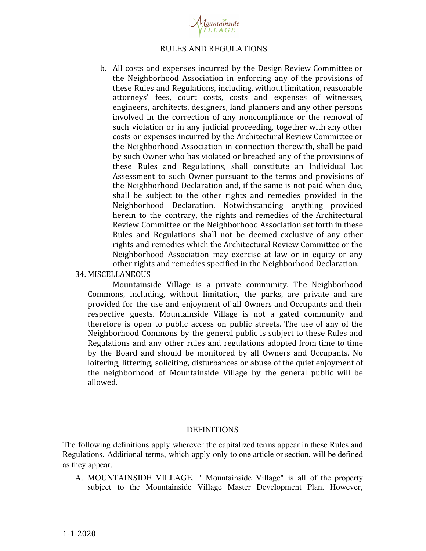

b. All costs and expenses incurred by the Design Review Committee or the Neighborhood Association in enforcing any of the provisions of these Rules and Regulations, including, without limitation, reasonable attorneys' fees, court costs, costs and expenses of witnesses, engineers, architects, designers, land planners and any other persons involved in the correction of any noncompliance or the removal of such violation or in any judicial proceeding, together with any other costs or expenses incurred by the Architectural Review Committee or the Neighborhood Association in connection therewith, shall be paid by such Owner who has violated or breached any of the provisions of these Rules and Regulations, shall constitute an Individual Lot Assessment to such Owner pursuant to the terms and provisions of the Neighborhood Declaration and, if the same is not paid when due, shall be subject to the other rights and remedies provided in the Neighborhood Declaration. Notwithstanding anything provided herein to the contrary, the rights and remedies of the Architectural Review Committee or the Neighborhood Association set forth in these Rules and Regulations shall not be deemed exclusive of any other rights and remedies which the Architectural Review Committee or the Neighborhood Association may exercise at law or in equity or any other rights and remedies specified in the Neighborhood Declaration.

#### 34. MISCELLANEOUS

Mountainside Village is a private community. The Neighborhood Commons, including, without limitation, the parks, are private and are provided for the use and enjoyment of all Owners and Occupants and their respective guests. Mountainside Village is not a gated community and therefore is open to public access on public streets. The use of any of the Neighborhood Commons by the general public is subject to these Rules and Regulations and any other rules and regulations adopted from time to time by the Board and should be monitored by all Owners and Occupants. No loitering, littering, soliciting, disturbances or abuse of the quiet enjoyment of the neighborhood of Mountainside Village by the general public will be allowed.

#### **DEFINITIONS**

The following definitions apply wherever the capitalized terms appear in these Rules and Regulations. Additional terms, which apply only to one article or section, will be defined as they appear.

A. MOUNTAINSIDE VILLAGE. " Mountainside Village" is all of the property subject to the Mountainside Village Master Development Plan. However,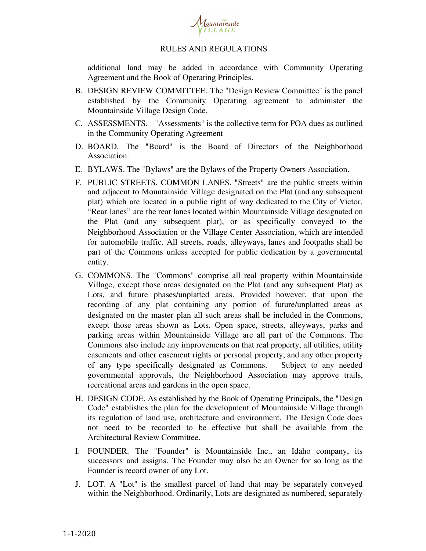

additional land may be added in accordance with Community Operating Agreement and the Book of Operating Principles.

- B. DESIGN REVIEW COMMITTEE. The "Design Review Committee" is the panel established by the Community Operating agreement to administer the Mountainside Village Design Code.
- C. ASSESSMENTS. "Assessments" is the collective term for POA dues as outlined in the Community Operating Agreement
- D. BOARD. The "Board" is the Board of Directors of the Neighborhood Association.
- E. BYLAWS. The "Bylaws" are the Bylaws of the Property Owners Association.
- F. PUBLIC STREETS, COMMON LANES. "Streets" are the public streets within and adjacent to Mountainside Village designated on the Plat (and any subsequent plat) which are located in a public right of way dedicated to the City of Victor. "Rear lanes" are the rear lanes located within Mountainside Village designated on the Plat (and any subsequent plat), or as specifically conveyed to the Neighborhood Association or the Village Center Association, which are intended for automobile traffic. All streets, roads, alleyways, lanes and footpaths shall be part of the Commons unless accepted for public dedication by a governmental entity.
- G. COMMONS. The "Commons" comprise all real property within Mountainside Village, except those areas designated on the Plat (and any subsequent Plat) as Lots, and future phases/unplatted areas. Provided however, that upon the recording of any plat containing any portion of future/unplatted areas as designated on the master plan all such areas shall be included in the Commons, except those areas shown as Lots. Open space, streets, alleyways, parks and parking areas within Mountainside Village are all part of the Commons. The Commons also include any improvements on that real property, all utilities, utility easements and other easement rights or personal property, and any other property of any type specifically designated as Commons. Subject to any needed governmental approvals, the Neighborhood Association may approve trails, recreational areas and gardens in the open space.
- H. DESIGN CODE. As established by the Book of Operating Principals, the "Design Code" establishes the plan for the development of Mountainside Village through its regulation of land use, architecture and environment. The Design Code does not need to be recorded to be effective but shall be available from the Architectural Review Committee.
- I. FOUNDER. The "Founder" is Mountainside Inc., an Idaho company, its successors and assigns. The Founder may also be an Owner for so long as the Founder is record owner of any Lot.
- J. LOT. A "Lot" is the smallest parcel of land that may be separately conveyed within the Neighborhood. Ordinarily, Lots are designated as numbered, separately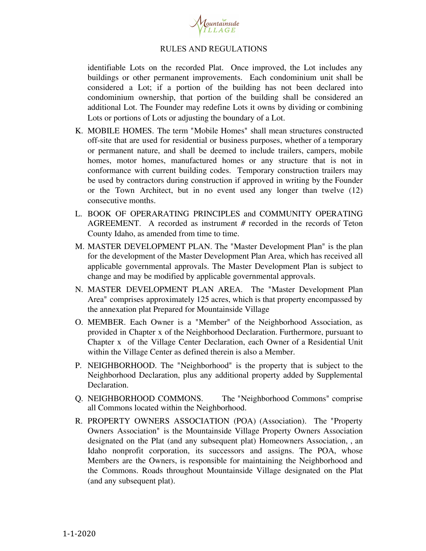

identifiable Lots on the recorded Plat. Once improved, the Lot includes any buildings or other permanent improvements. Each condominium unit shall be considered a Lot; if a portion of the building has not been declared into condominium ownership, that portion of the building shall be considered an additional Lot. The Founder may redefine Lots it owns by dividing or combining Lots or portions of Lots or adjusting the boundary of a Lot.

- K. MOBILE HOMES. The term "Mobile Homes" shall mean structures constructed off-site that are used for residential or business purposes, whether of a temporary or permanent nature, and shall be deemed to include trailers, campers, mobile homes, motor homes, manufactured homes or any structure that is not in conformance with current building codes. Temporary construction trailers may be used by contractors during construction if approved in writing by the Founder or the Town Architect, but in no event used any longer than twelve (12) consecutive months.
- L. BOOK OF OPERARATING PRINCIPLES and COMMUNITY OPERATING AGREEMENT. A recorded as instrument # recorded in the records of Teton County Idaho, as amended from time to time.
- M. MASTER DEVELOPMENT PLAN. The "Master Development Plan" is the plan for the development of the Master Development Plan Area, which has received all applicable governmental approvals. The Master Development Plan is subject to change and may be modified by applicable governmental approvals.
- N. MASTER DEVELOPMENT PLAN AREA. The "Master Development Plan Area" comprises approximately 125 acres, which is that property encompassed by the annexation plat Prepared for Mountainside Village
- O. MEMBER. Each Owner is a "Member" of the Neighborhood Association, as provided in Chapter x of the Neighborhood Declaration. Furthermore, pursuant to Chapter x of the Village Center Declaration, each Owner of a Residential Unit within the Village Center as defined therein is also a Member.
- P. NEIGHBORHOOD. The "Neighborhood" is the property that is subject to the Neighborhood Declaration, plus any additional property added by Supplemental Declaration.
- Q. NEIGHBORHOOD COMMONS. The "Neighborhood Commons" comprise all Commons located within the Neighborhood.
- R. PROPERTY OWNERS ASSOCIATION (POA) (Association). The "Property Owners Association" is the Mountainside Village Property Owners Association designated on the Plat (and any subsequent plat) Homeowners Association, , an Idaho nonprofit corporation, its successors and assigns. The POA, whose Members are the Owners, is responsible for maintaining the Neighborhood and the Commons. Roads throughout Mountainside Village designated on the Plat (and any subsequent plat).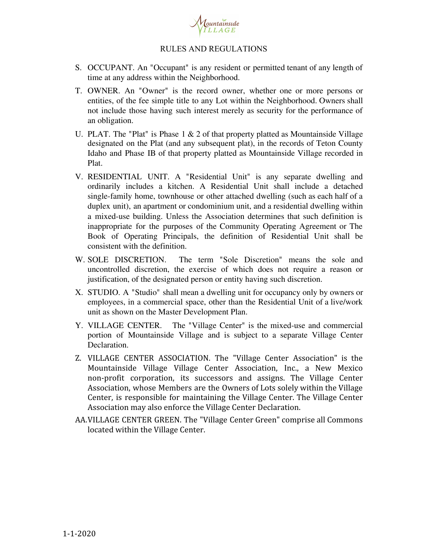

- S. OCCUPANT. An "Occupant" is any resident or permitted tenant of any length of time at any address within the Neighborhood.
- T. OWNER. An "Owner" is the record owner, whether one or more persons or entities, of the fee simple title to any Lot within the Neighborhood. Owners shall not include those having such interest merely as security for the performance of an obligation.
- U. PLAT. The "Plat" is Phase  $1 \& 2$  of that property platted as Mountainside Village designated on the Plat (and any subsequent plat), in the records of Teton County Idaho and Phase IB of that property platted as Mountainside Village recorded in Plat.
- V. RESIDENTIAL UNIT. A "Residential Unit" is any separate dwelling and ordinarily includes a kitchen. A Residential Unit shall include a detached single-family home, townhouse or other attached dwelling (such as each half of a duplex unit), an apartment or condominium unit, and a residential dwelling within a mixed-use building. Unless the Association determines that such definition is inappropriate for the purposes of the Community Operating Agreement or The Book of Operating Principals, the definition of Residential Unit shall be consistent with the definition.
- W. SOLE DISCRETION. The term "Sole Discretion" means the sole and uncontrolled discretion, the exercise of which does not require a reason or justification, of the designated person or entity having such discretion.
- X. STUDIO. A "Studio" shall mean a dwelling unit for occupancy only by owners or employees, in a commercial space, other than the Residential Unit of a live/work unit as shown on the Master Development Plan.
- Y. VILLAGE CENTER. The "Village Center" is the mixed-use and commercial portion of Mountainside Village and is subject to a separate Village Center Declaration.
- Z. VILLAGE CENTER ASSOCIATION. The "Village Center Association" is the Mountainside Village Village Center Association, Inc., a New Mexico non-profit corporation, its successors and assigns. The Village Center Association, whose Members are the Owners of Lots solely within the Village Center, is responsible for maintaining the Village Center. The Village Center Association may also enforce the Village Center Declaration.
- AA.VILLAGE CENTER GREEN. The "Village Center Green" comprise all Commons located within the Village Center.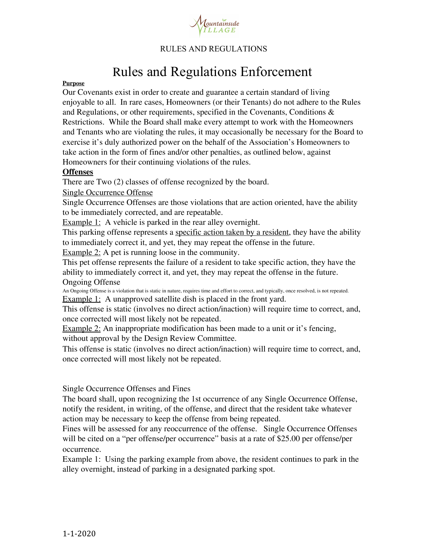

# Rules and Regulations Enforcement

#### **Purpose**

Our Covenants exist in order to create and guarantee a certain standard of living enjoyable to all. In rare cases, Homeowners (or their Tenants) do not adhere to the Rules and Regulations, or other requirements, specified in the Covenants, Conditions & Restrictions. While the Board shall make every attempt to work with the Homeowners and Tenants who are violating the rules, it may occasionally be necessary for the Board to exercise it's duly authorized power on the behalf of the Association's Homeowners to take action in the form of fines and/or other penalties, as outlined below, against Homeowners for their continuing violations of the rules.

#### **Offenses**

There are Two (2) classes of offense recognized by the board.

#### Single Occurrence Offense

Single Occurrence Offenses are those violations that are action oriented, have the ability to be immediately corrected, and are repeatable.

Example 1: A vehicle is parked in the rear alley overnight.

This parking offense represents a specific action taken by a resident, they have the ability to immediately correct it, and yet, they may repeat the offense in the future.

Example 2: A pet is running loose in the community.

This pet offense represents the failure of a resident to take specific action, they have the ability to immediately correct it, and yet, they may repeat the offense in the future. Ongoing Offense

An Ongoing Offense is a violation that is static in nature, requires time and effort to correct, and typically, once resolved, is not repeated. Example 1: A unapproved satellite dish is placed in the front yard.

This offense is static (involves no direct action/inaction) will require time to correct, and, once corrected will most likely not be repeated.

Example 2: An inappropriate modification has been made to a unit or it's fencing, without approval by the Design Review Committee.

This offense is static (involves no direct action/inaction) will require time to correct, and, once corrected will most likely not be repeated.

## Single Occurrence Offenses and Fines

The board shall, upon recognizing the 1st occurrence of any Single Occurrence Offense, notify the resident, in writing, of the offense, and direct that the resident take whatever action may be necessary to keep the offense from being repeated.

Fines will be assessed for any reoccurrence of the offense. Single Occurrence Offenses will be cited on a "per offense/per occurrence" basis at a rate of \$25.00 per offense/per occurrence.

Example 1: Using the parking example from above, the resident continues to park in the alley overnight, instead of parking in a designated parking spot.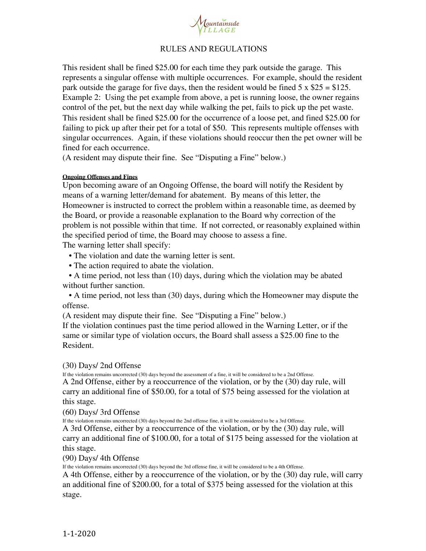

This resident shall be fined \$25.00 for each time they park outside the garage. This represents a singular offense with multiple occurrences. For example, should the resident park outside the garage for five days, then the resident would be fined  $5 \times $25 = $125$ . Example 2: Using the pet example from above, a pet is running loose, the owner regains control of the pet, but the next day while walking the pet, fails to pick up the pet waste. This resident shall be fined \$25.00 for the occurrence of a loose pet, and fined \$25.00 for failing to pick up after their pet for a total of \$50. This represents multiple offenses with singular occurrences. Again, if these violations should reoccur then the pet owner will be fined for each occurrence.

(A resident may dispute their fine. See "Disputing a Fine" below.)

#### **Ongoing Offenses and Fines**

Upon becoming aware of an Ongoing Offense, the board will notify the Resident by means of a warning letter/demand for abatement. By means of this letter, the Homeowner is instructed to correct the problem within a reasonable time, as deemed by the Board, or provide a reasonable explanation to the Board why correction of the problem is not possible within that time. If not corrected, or reasonably explained within the specified period of time, the Board may choose to assess a fine.

The warning letter shall specify:

• The violation and date the warning letter is sent.

• The action required to abate the violation.

• A time period, not less than (10) days, during which the violation may be abated without further sanction.

• A time period, not less than (30) days, during which the Homeowner may dispute the offense.

(A resident may dispute their fine. See "Disputing a Fine" below.)

If the violation continues past the time period allowed in the Warning Letter, or if the same or similar type of violation occurs, the Board shall assess a \$25.00 fine to the Resident.

## (30) Days/ 2nd Offense

If the violation remains uncorrected (30) days beyond the assessment of a fine, it will be considered to be a 2nd Offense. A 2nd Offense, either by a reoccurrence of the violation, or by the (30) day rule, will carry an additional fine of \$50.00, for a total of \$75 being assessed for the violation at this stage.

(60) Days/ 3rd Offense

If the violation remains uncorrected (30) days beyond the 2nd offense fine, it will be considered to be a 3rd Offense.

A 3rd Offense, either by a reoccurrence of the violation, or by the (30) day rule, will carry an additional fine of \$100.00, for a total of \$175 being assessed for the violation at this stage.

(90) Days/ 4th Offense

If the violation remains uncorrected (30) days beyond the 3rd offense fine, it will be considered to be a 4th Offense.

A 4th Offense, either by a reoccurrence of the violation, or by the (30) day rule, will carry an additional fine of \$200.00, for a total of \$375 being assessed for the violation at this stage.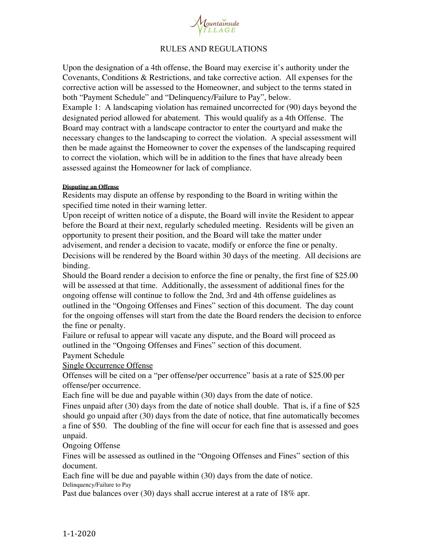

Upon the designation of a 4th offense, the Board may exercise it's authority under the Covenants, Conditions & Restrictions, and take corrective action. All expenses for the corrective action will be assessed to the Homeowner, and subject to the terms stated in both "Payment Schedule" and "Delinquency/Failure to Pay", below.

Example 1: A landscaping violation has remained uncorrected for (90) days beyond the designated period allowed for abatement. This would qualify as a 4th Offense. The Board may contract with a landscape contractor to enter the courtyard and make the necessary changes to the landscaping to correct the violation. A special assessment will then be made against the Homeowner to cover the expenses of the landscaping required to correct the violation, which will be in addition to the fines that have already been assessed against the Homeowner for lack of compliance.

#### **Disputing an Offense**

Residents may dispute an offense by responding to the Board in writing within the specified time noted in their warning letter.

Upon receipt of written notice of a dispute, the Board will invite the Resident to appear before the Board at their next, regularly scheduled meeting. Residents will be given an opportunity to present their position, and the Board will take the matter under advisement, and render a decision to vacate, modify or enforce the fine or penalty. Decisions will be rendered by the Board within 30 days of the meeting. All decisions are binding.

Should the Board render a decision to enforce the fine or penalty, the first fine of \$25.00 will be assessed at that time. Additionally, the assessment of additional fines for the ongoing offense will continue to follow the 2nd, 3rd and 4th offense guidelines as outlined in the "Ongoing Offenses and Fines" section of this document. The day count for the ongoing offenses will start from the date the Board renders the decision to enforce the fine or penalty.

Failure or refusal to appear will vacate any dispute, and the Board will proceed as outlined in the "Ongoing Offenses and Fines" section of this document.

Payment Schedule

Single Occurrence Offense

Offenses will be cited on a "per offense/per occurrence" basis at a rate of \$25.00 per offense/per occurrence.

Each fine will be due and payable within (30) days from the date of notice.

Fines unpaid after (30) days from the date of notice shall double. That is, if a fine of \$25 should go unpaid after (30) days from the date of notice, that fine automatically becomes a fine of \$50. The doubling of the fine will occur for each fine that is assessed and goes unpaid.

# Ongoing Offense

Fines will be assessed as outlined in the "Ongoing Offenses and Fines" section of this document.

Each fine will be due and payable within (30) days from the date of notice. Delinquency/Failure to Pay

Past due balances over (30) days shall accrue interest at a rate of 18% apr.